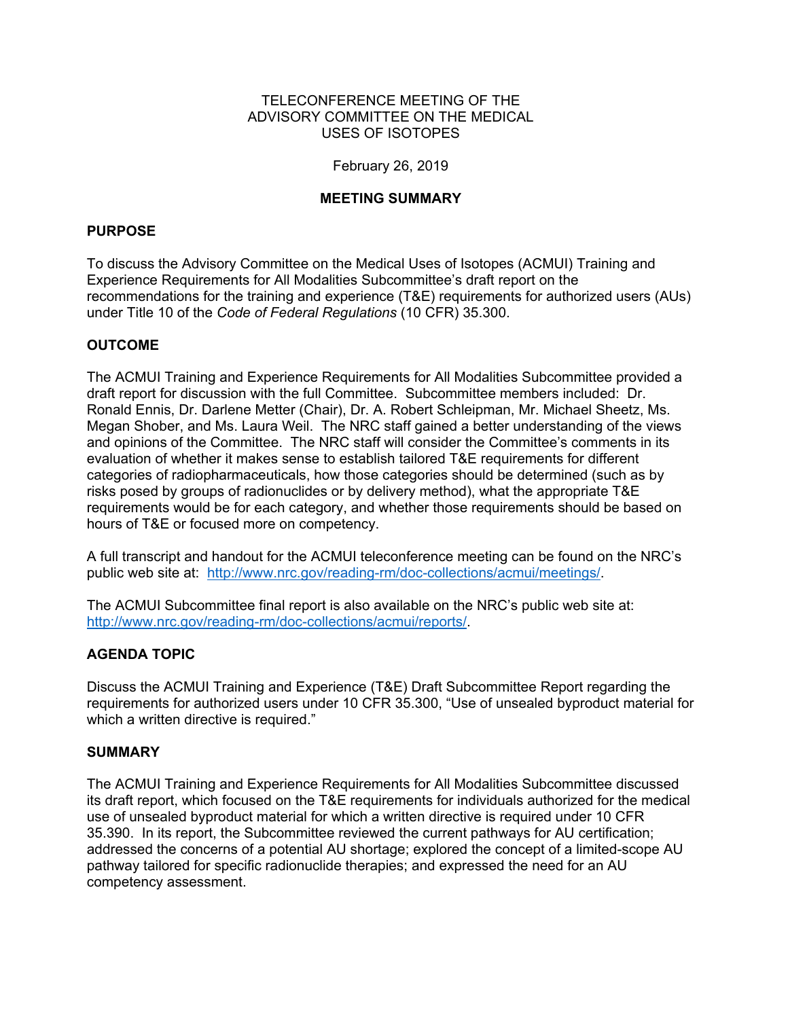#### TELECONFERENCE MEETING OF THE ADVISORY COMMITTEE ON THE MEDICAL USES OF ISOTOPES

### February 26, 2019

### **MEETING SUMMARY**

### **PURPOSE**

To discuss the Advisory Committee on the Medical Uses of Isotopes (ACMUI) Training and Experience Requirements for All Modalities Subcommittee's draft report on the recommendations for the training and experience (T&E) requirements for authorized users (AUs) under Title 10 of the *Code of Federal Regulations* (10 CFR) 35.300.

## **OUTCOME**

The ACMUI Training and Experience Requirements for All Modalities Subcommittee provided a draft report for discussion with the full Committee. Subcommittee members included: Dr. Ronald Ennis, Dr. Darlene Metter (Chair), Dr. A. Robert Schleipman, Mr. Michael Sheetz, Ms. Megan Shober, and Ms. Laura Weil. The NRC staff gained a better understanding of the views and opinions of the Committee. The NRC staff will consider the Committee's comments in its evaluation of whether it makes sense to establish tailored T&E requirements for different categories of radiopharmaceuticals, how those categories should be determined (such as by risks posed by groups of radionuclides or by delivery method), what the appropriate T&E requirements would be for each category, and whether those requirements should be based on hours of T&E or focused more on competency.

A full transcript and handout for the ACMUI teleconference meeting can be found on the NRC's public web site at: http://www.nrc.gov/reading-rm/doc-collections/acmui/meetings/.

The ACMUI Subcommittee final report is also available on the NRC's public web site at: http://www.nrc.gov/reading-rm/doc-collections/acmui/reports/.

## **AGENDA TOPIC**

Discuss the ACMUI Training and Experience (T&E) Draft Subcommittee Report regarding the requirements for authorized users under 10 CFR 35.300, "Use of unsealed byproduct material for which a written directive is required."

#### **SUMMARY**

The ACMUI Training and Experience Requirements for All Modalities Subcommittee discussed its draft report, which focused on the T&E requirements for individuals authorized for the medical use of unsealed byproduct material for which a written directive is required under 10 CFR 35.390. In its report, the Subcommittee reviewed the current pathways for AU certification; addressed the concerns of a potential AU shortage; explored the concept of a limited-scope AU pathway tailored for specific radionuclide therapies; and expressed the need for an AU competency assessment.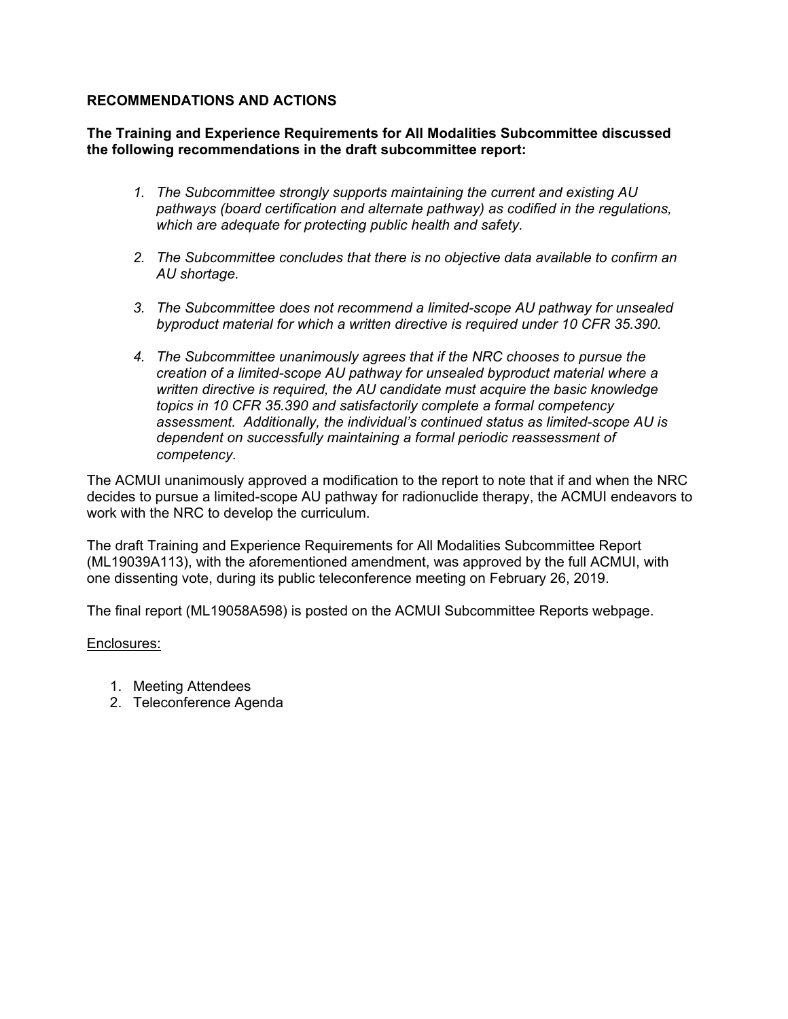## **RECOMMENDATIONS AND ACTIONS**

**The Training and Experience Requirements for All Modalities Subcommittee discussed the following recommendations in the draft subcommittee report:**

- *1. The Subcommittee strongly supports maintaining the current and existing AU pathways (board certification and alternate pathway) as codified in the regulations, which are adequate for protecting public health and safety.*
- *2. The Subcommittee concludes that there is no objective data available to confirm an AU shortage.*
- *3. The Subcommittee does not recommend a limited-scope AU pathway for unsealed byproduct material for which a written directive is required under 10 CFR 35.390.*
- *4. The Subcommittee unanimously agrees that if the NRC chooses to pursue the creation of a limited-scope AU pathway for unsealed byproduct material where a written directive is required, the AU candidate must acquire the basic knowledge topics in 10 CFR 35.390 and satisfactorily complete a formal competency assessment. Additionally, the individual's continued status as limited-scope AU is dependent on successfully maintaining a formal periodic reassessment of competency.*

The ACMUI unanimously approved a modification to the report to note that if and when the NRC decides to pursue a limited-scope AU pathway for radionuclide therapy, the ACMUI endeavors to work with the NRC to develop the curriculum.

The draft Training and Experience Requirements for All Modalities Subcommittee Report (ML19039A113), with the aforementioned amendment, was approved by the full ACMUI, with one dissenting vote, during its public teleconference meeting on February 26, 2019.

The final report (ML19058A598) is posted on the ACMUI Subcommittee Reports webpage.

## Enclosures:

- 1. Meeting Attendees
- 2. Teleconference Agenda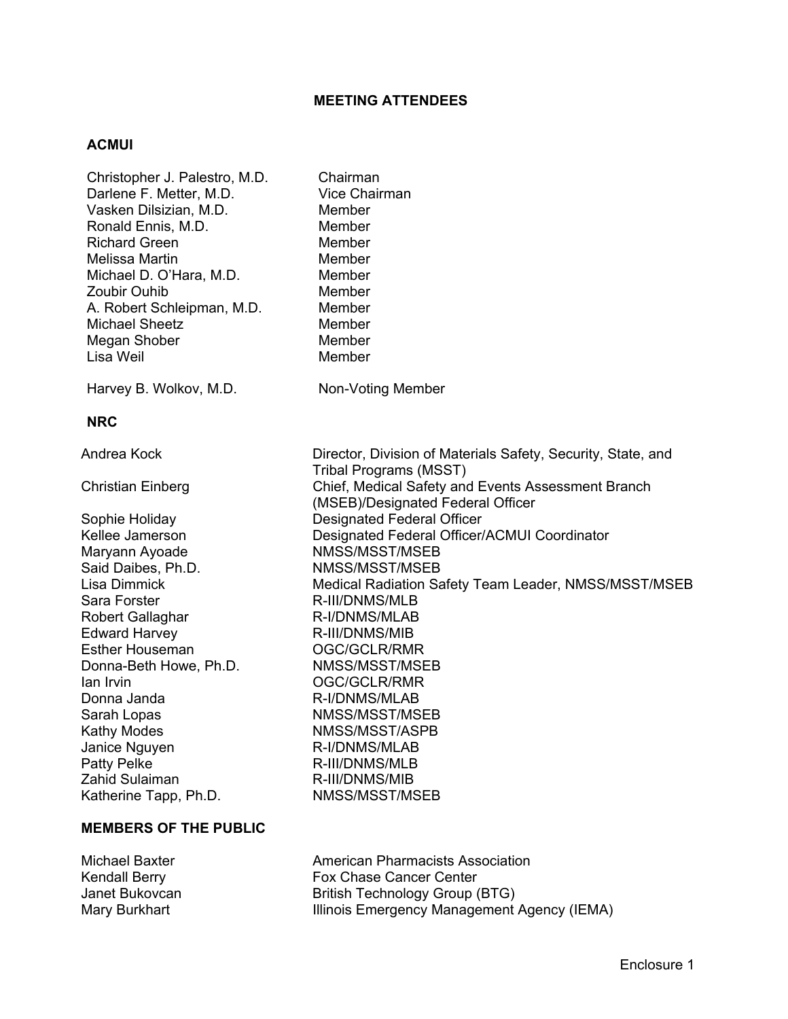### **MEETING ATTENDEES**

#### **ACMUI**

Christopher J. Palestro, M.D. Chairman Darlene F. Metter, M.D. Vice Chairman Vasken Dilsizian, M.D. Member Ronald Ennis, M.D. Member Richard Green Member Melissa Martin Member Michael D. O'Hara, M.D. Member Zoubir Ouhib A. Robert Schleipman, M.D. Member Michael Sheetz Member Megan Shober Member Lisa Weil **Member** Harvey B. Wolkov, M.D. Non-Voting Member **NRC**  Andrea Kock **Director, Division of Materials Safety, Security, State, and** Tribal Programs (MSST) Christian Einberg Chief, Medical Safety and Events Assessment Branch (MSEB)/Designated Federal Officer Sophie Holiday Designated Federal Officer Kellee Jamerson Designated Federal Officer/ACMUI Coordinator Maryann Ayoade NMSS/MSST/MSEB Said Daibes, Ph.D. NMSS/MSST/MSEB Lisa Dimmick **Medical Radiation Safety Team Leader, NMSS/MSST/MSEB** Sara Forster **R-III/DNMS/MLB** Robert Gallaghar R-I/DNMS/MLAB Edward Harvey **R-III/DNMS/MIB** Esther Houseman **CGC/GCLR/RMR** Donna-Beth Howe, Ph.D. NMSS/MSST/MSEB Ian Irvin OGC/GCLR/RMR Donna Janda R-I/DNMS/MLAB Sarah Lopas NMSS/MSST/MSEB Kathy Modes NMSS/MSST/ASPB Janice Nguyen **R-I/DNMS/MLAB** Patty Pelke R-III/DNMS/MLB Zahid Sulaiman R-III/DNMS/MIB Katherine Tapp, Ph.D. NMSS/MSST/MSEB

### **MEMBERS OF THE PUBLIC**

Michael Baxter **American Pharmacists Association** Kendall Berry **Fox Chase Cancer Center** Janet Bukovcan British Technology Group (BTG) Mary Burkhart **Illinois Emergency Management Agency (IEMA)**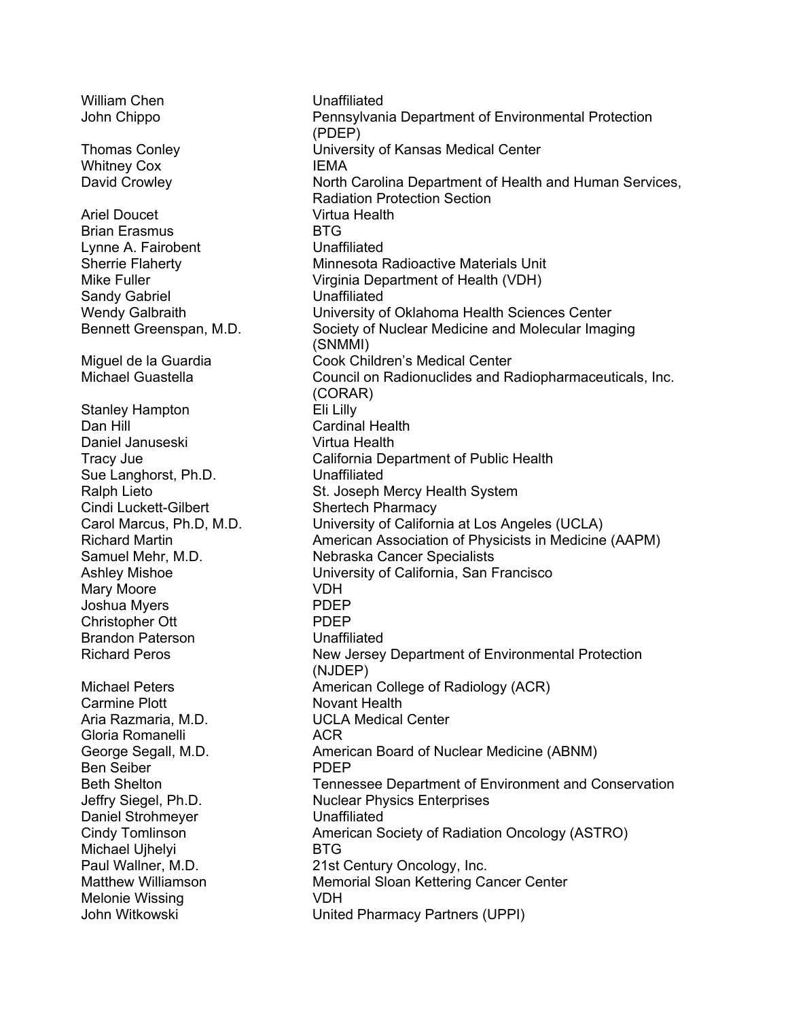William Chen **Unaffiliated** Whitney Cox **IEMA** Ariel Doucet **Virtua Health** Brian Erasmus **BTG** Lynne A. Fairobent Vinaffiliated Sandy Gabriel **Unaffiliated** Stanley Hampton Eli Lilly Dan Hill **Cardinal Health** Daniel Januseski Virtua Health Sue Langhorst, Ph.D. Unaffiliated Cindi Luckett-Gilbert Shertech Pharmacy Mary Moore **VDH** Joshua Myers **PDEP** Christopher Ott PDEP Brandon Paterson Unaffiliated Carmine Plott Novant Health Aria Razmaria, M.D. UCLA Medical Center Gloria Romanelli **ACR** Ben Seiber **PDEP** Daniel Strohmeyer **Unaffiliated** Michael Ujhelyi **BTG** Melonie Wissing VDH

John Chippo Pennsylvania Department of Environmental Protection (PDEP) Thomas Conley University of Kansas Medical Center David Crowley **North Carolina Department of Health and Human Services,** Radiation Protection Section Sherrie Flaherty Minnesota Radioactive Materials Unit Mike Fuller Virginia Department of Health (VDH) Wendy Galbraith University of Oklahoma Health Sciences Center Bennett Greenspan, M.D. Society of Nuclear Medicine and Molecular Imaging (SNMMI) Miguel de la Guardia Cook Children's Medical Center Michael Guastella Council on Radionuclides and Radiopharmaceuticals, Inc. (CORAR) Tracy Jue California Department of Public Health St. Joseph Mercy Health System Carol Marcus, Ph.D, M.D. University of California at Los Angeles (UCLA) Richard Martin American Association of Physicists in Medicine (AAPM) Samuel Mehr, M.D. Nebraska Cancer Specialists Ashley Mishoe University of California, San Francisco Richard Peros New Jersey Department of Environmental Protection (NJDEP) Michael Peters **American College of Radiology (ACR)** George Segall, M.D. American Board of Nuclear Medicine (ABNM) Beth Shelton Tennessee Department of Environment and Conservation Jeffry Siegel, Ph.D. Nuclear Physics Enterprises Cindy Tomlinson American Society of Radiation Oncology (ASTRO) Paul Wallner, M.D. 21st Century Oncology, Inc. Matthew Williamson **Memorial Sloan Kettering Cancer Center** John Witkowski United Pharmacy Partners (UPPI)